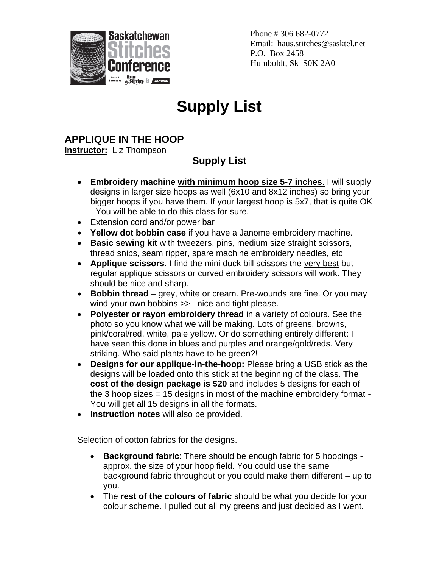

Phone # 306 682-0772 Email: haus.stitches@sasktel.net P.O. Box 2458 Humboldt, Sk S0K 2A0

## **Supply List**

## **APPLIQUE IN THE HOOP**

**Instructor:** Liz Thompson

## **Supply List**

- **Embroidery machine with minimum hoop size 5-7 inches**. I will supply designs in larger size hoops as well (6x10 and 8x12 inches) so bring your bigger hoops if you have them. If your largest hoop is 5x7, that is quite OK - You will be able to do this class for sure.
- Extension cord and/or power bar
- **Yellow dot bobbin case** if you have a Janome embroidery machine.
- **Basic sewing kit** with tweezers, pins, medium size straight scissors, thread snips, seam ripper, spare machine embroidery needles, etc
- **Applique scissors.** I find the mini duck bill scissors the very best but regular applique scissors or curved embroidery scissors will work. They should be nice and sharp.
- **Bobbin thread** grey, white or cream. Pre-wounds are fine. Or you may wind your own bobbins  $\gg$ - nice and tight please.
- **Polyester or rayon embroidery thread** in a variety of colours. See the photo so you know what we will be making. Lots of greens, browns, pink/coral/red, white, pale yellow. Or do something entirely different: I have seen this done in blues and purples and orange/gold/reds. Very striking. Who said plants have to be green?!
- **Designs for our applique-in-the-hoop:** Please bring a USB stick as the designs will be loaded onto this stick at the beginning of the class. **The cost of the design package is \$20** and includes 5 designs for each of the 3 hoop sizes = 15 designs in most of the machine embroidery format - You will get all 15 designs in all the formats.
- **Instruction notes** will also be provided.

## Selection of cotton fabrics for the designs.

- **Background fabric**: There should be enough fabric for 5 hoopings approx. the size of your hoop field. You could use the same background fabric throughout or you could make them different – up to you.
- The **rest of the colours of fabric** should be what you decide for your colour scheme. I pulled out all my greens and just decided as I went.